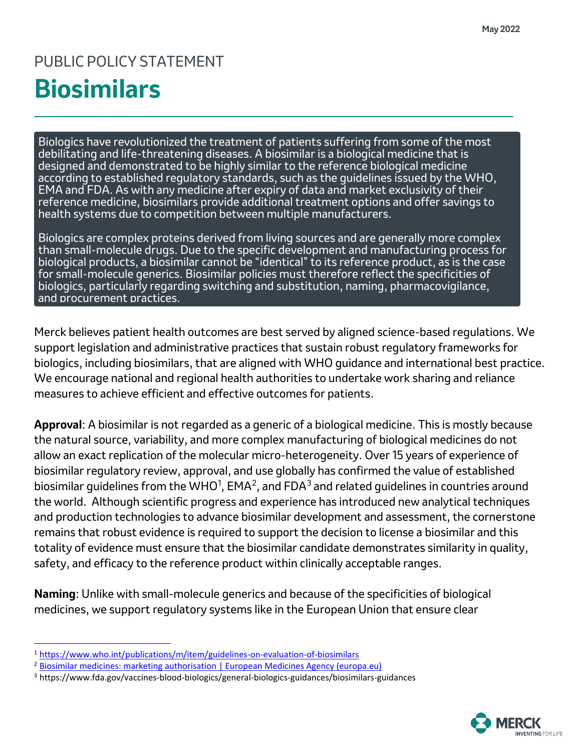## PUBLIC POLICY STATEMENT **Biosimilars**

Biologics have revolutionized the treatment of patients suffering from some of the most debilitating and life-threatening diseases. A biosimilar is a biological medicine that is designed and demonstrated to be highly similar to the reference biological medicine according to established regulatory standards, such as the guidelines issued by the WHO, EMA and FDA. As with any medicine after expiry of data and market exclusivity of their reference medicine, biosimilars provide additional treatment options and offer savings to health systems due to competition between multiple manufacturers.

Biologics are complex proteins derived from living sources and are generally more complex than small-molecule drugs. Due to the specific development and manufacturing process for biological products, a biosimilar cannot be "identical" to its reference product, as is the case for small-molecule generics. Biosimilar policies must therefore reflect the specificities of biologics, particularly regarding switching and substitution, naming, pharmacovigilance, and procurement practices.

Merck believes patient health outcomes are best served by aligned science-based regulations. We support legislation and administrative practices that sustain robust regulatory frameworks for biologics, including biosimilars, that are aligned with WHO guidance and international best practice. We encourage national and regional health authorities to undertake work sharing and reliance measures to achieve efficient and effective outcomes for patients.

**Approval**: A biosimilar is not regarded as a generic of a biological medicine. This is mostly because the natural source, variability, and more complex manufacturing of biological medicines do not allow an exact replication of the molecular micro-heterogeneity. Over 15 years of experience of biosimilar regulatory review, approval, and use globally has confirmed the value of established biosimilar guidelines from the WHO<sup>[1](#page-0-0)</sup>, EMA<sup>[2](#page-0-1)</sup>, and FDA<sup>[3](#page-0-2)</sup> and related guidelines in countries around the world. Although scientific progress and experience has introduced new analytical techniques and production technologies to advance biosimilar development and assessment, the cornerstone remains that robust evidence is required to support the decision to license a biosimilar and this totality of evidence must ensure that the biosimilar candidate demonstrates similarity in quality, safety, and efficacy to the reference product within clinically acceptable ranges.

**Naming**: Unlike with small-molecule generics and because of the specificities of biological medicines, we support regulatory systems like in the European Union that ensure clear



<span id="page-0-0"></span><sup>&</sup>lt;sup>1</sup> <https://www.who.int/publications/m/item/guidelines-on-evaluation-of-biosimilars>

<span id="page-0-1"></span><sup>2</sup> [Biosimilar medicines: marketing authorisation | European Medicines Agency \(europa.eu\)](https://www.ema.europa.eu/en/human-regulatory/marketing-authorisation/biosimilar-medicines-marketing-authorisation)

<span id="page-0-2"></span><sup>3</sup> https://www.fda.gov/vaccines-blood-biologics/general-biologics-guidances/biosimilars-guidances